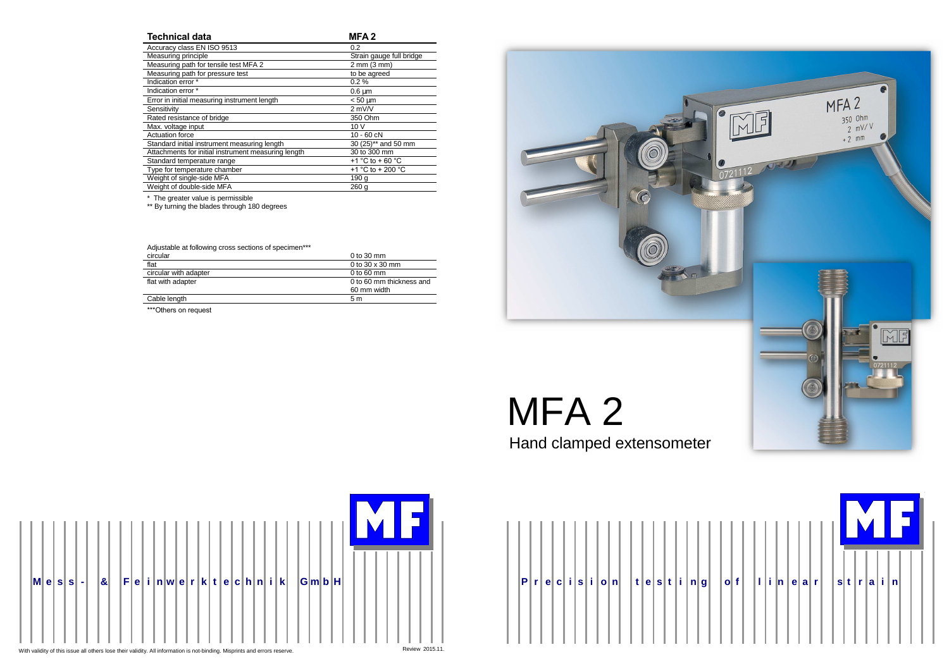



|  | Technical data |
|--|----------------|
|  |                |

**MFA 2**

| Accuracy class EN ISO 9513                          | 0.2                                  |
|-----------------------------------------------------|--------------------------------------|
| Measuring principle                                 | Strain gauge full bridge             |
| Measuring path for tensile test MFA 2               | 2 mm (3 mm)                          |
| Measuring path for pressure test                    | to be agreed                         |
| Indication error *                                  | 0.2%                                 |
| Indication error *                                  | $0.6 \mu m$                          |
| Error in initial measuring instrument length        | $< 50 \text{ µm}$                    |
| Sensitivity                                         | $2$ mV/V                             |
| Rated resistance of bridge                          | 350 Ohm                              |
| Max. voltage input                                  | 10 V                                 |
| Actuation force                                     | $10 - 60$ $cN$                       |
| Standard initial instrument measuring length        | 30 (25)** and 50 mm                  |
| Attachments for initial instrument measuring length | 30 to 300 mm                         |
| Standard temperature range                          | +1 $^{\circ}$ C to + 60 $^{\circ}$ C |
| Type for temperature chamber                        | +1 °C to + 200 °C                    |
| Weight of single-side MFA                           | 190 a                                |
| Weight of double-side MFA                           | 260q                                 |
|                                                     |                                      |

\* The greater value is permissible \*\* By turning the blades through 180 degrees

| Adjustable at following cross sections of specimen*** |                          |
|-------------------------------------------------------|--------------------------|
| circular                                              | 0 to 30 mm               |
| flat                                                  | 0 to $30 \times 30$ mm   |
| circular with adapter                                 | 0 to 60 $mm$             |
| flat with adapter                                     | 0 to 60 mm thickness and |
|                                                       | 60 mm width              |
| Cable length                                          | 5 m                      |
|                                                       |                          |

\*\*\*Others on request



Hand clamped extensometer